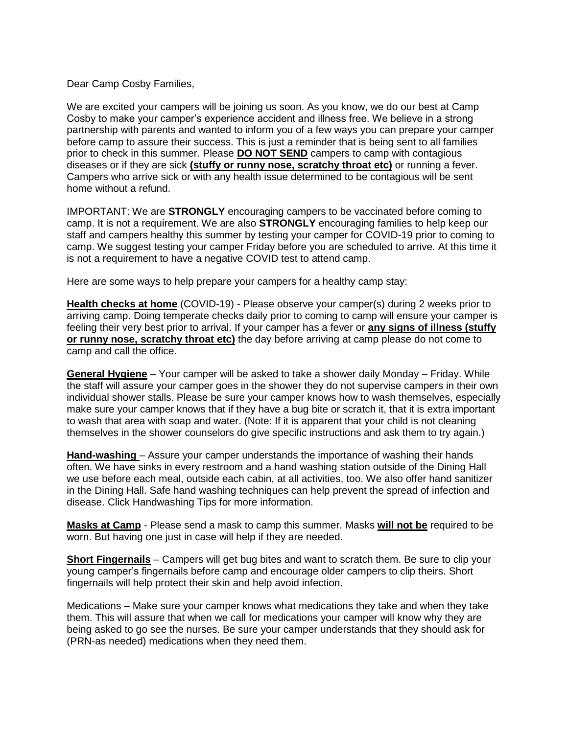Dear Camp Cosby Families,

We are excited your campers will be joining us soon. As you know, we do our best at Camp Cosby to make your camper's experience accident and illness free. We believe in a strong partnership with parents and wanted to inform you of a few ways you can prepare your camper before camp to assure their success. This is just a reminder that is being sent to all families prior to check in this summer. Please **DO NOT SEND** campers to camp with contagious diseases or if they are sick **(stuffy or runny nose, scratchy throat etc)** or running a fever. Campers who arrive sick or with any health issue determined to be contagious will be sent home without a refund.

IMPORTANT: We are **STRONGLY** encouraging campers to be vaccinated before coming to camp. It is not a requirement. We are also **STRONGLY** encouraging families to help keep our staff and campers healthy this summer by testing your camper for COVID-19 prior to coming to camp. We suggest testing your camper Friday before you are scheduled to arrive. At this time it is not a requirement to have a negative COVID test to attend camp.

Here are some ways to help prepare your campers for a healthy camp stay:

**Health checks at home** (COVID-19) - Please observe your camper(s) during 2 weeks prior to arriving camp. Doing temperate checks daily prior to coming to camp will ensure your camper is feeling their very best prior to arrival. If your camper has a fever or **any signs of illness (stuffy or runny nose, scratchy throat etc)** the day before arriving at camp please do not come to camp and call the office.

**General Hygiene** – Your camper will be asked to take a shower daily Monday – Friday. While the staff will assure your camper goes in the shower they do not supervise campers in their own individual shower stalls. Please be sure your camper knows how to wash themselves, especially make sure your camper knows that if they have a bug bite or scratch it, that it is extra important to wash that area with soap and water. (Note: If it is apparent that your child is not cleaning themselves in the shower counselors do give specific instructions and ask them to try again.)

**Hand-washing** – Assure your camper understands the importance of washing their hands often. We have sinks in every restroom and a hand washing station outside of the Dining Hall we use before each meal, outside each cabin, at all activities, too. We also offer hand sanitizer in the Dining Hall. Safe hand washing techniques can help prevent the spread of infection and disease. Click Handwashing Tips for more information.

**Masks at Camp** - Please send a mask to camp this summer. Masks **will not be** required to be worn. But having one just in case will help if they are needed.

**Short Fingernails** – Campers will get bug bites and want to scratch them. Be sure to clip your young camper's fingernails before camp and encourage older campers to clip theirs. Short fingernails will help protect their skin and help avoid infection.

Medications – Make sure your camper knows what medications they take and when they take them. This will assure that when we call for medications your camper will know why they are being asked to go see the nurses. Be sure your camper understands that they should ask for (PRN-as needed) medications when they need them.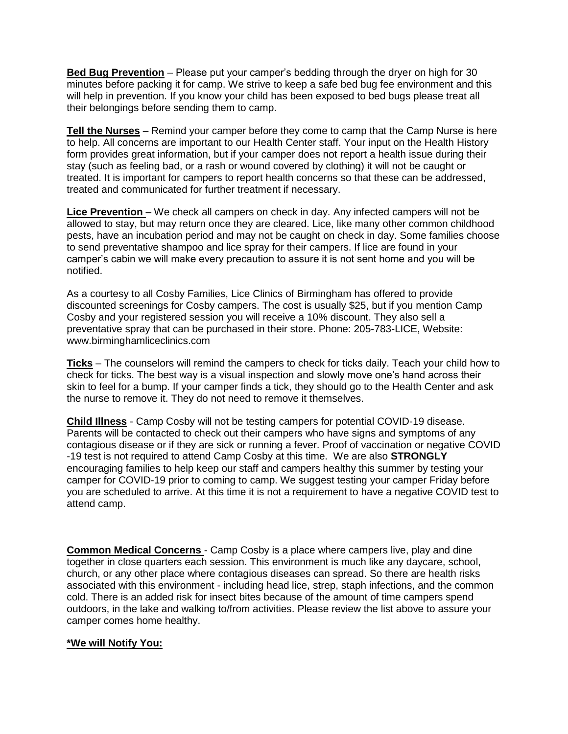**Bed Bug Prevention** – Please put your camper's bedding through the dryer on high for 30 minutes before packing it for camp. We strive to keep a safe bed bug fee environment and this will help in prevention. If you know your child has been exposed to bed bugs please treat all their belongings before sending them to camp.

**Tell the Nurses** – Remind your camper before they come to camp that the Camp Nurse is here to help. All concerns are important to our Health Center staff. Your input on the Health History form provides great information, but if your camper does not report a health issue during their stay (such as feeling bad, or a rash or wound covered by clothing) it will not be caught or treated. It is important for campers to report health concerns so that these can be addressed, treated and communicated for further treatment if necessary.

Lice Prevention – We check all campers on check in day. Any infected campers will not be allowed to stay, but may return once they are cleared. Lice, like many other common childhood pests, have an incubation period and may not be caught on check in day. Some families choose to send preventative shampoo and lice spray for their campers. If lice are found in your camper's cabin we will make every precaution to assure it is not sent home and you will be notified.

As a courtesy to all Cosby Families, Lice Clinics of Birmingham has offered to provide discounted screenings for Cosby campers. The cost is usually \$25, but if you mention Camp Cosby and your registered session you will receive a 10% discount. They also sell a preventative spray that can be purchased in their store. Phone: 205-783-LICE, Website: www.birminghamliceclinics.com

**Ticks** – The counselors will remind the campers to check for ticks daily. Teach your child how to check for ticks. The best way is a visual inspection and slowly move one's hand across their skin to feel for a bump. If your camper finds a tick, they should go to the Health Center and ask the nurse to remove it. They do not need to remove it themselves.

**Child Illness** - Camp Cosby will not be testing campers for potential COVID-19 disease. Parents will be contacted to check out their campers who have signs and symptoms of any contagious disease or if they are sick or running a fever. Proof of vaccination or negative COVID -19 test is not required to attend Camp Cosby at this time. We are also **STRONGLY** encouraging families to help keep our staff and campers healthy this summer by testing your camper for COVID-19 prior to coming to camp. We suggest testing your camper Friday before you are scheduled to arrive. At this time it is not a requirement to have a negative COVID test to attend camp.

**Common Medical Concerns** - Camp Cosby is a place where campers live, play and dine together in close quarters each session. This environment is much like any daycare, school, church, or any other place where contagious diseases can spread. So there are health risks associated with this environment - including head lice, strep, staph infections, and the common cold. There is an added risk for insect bites because of the amount of time campers spend outdoors, in the lake and walking to/from activities. Please review the list above to assure your camper comes home healthy.

## **\*We will Notify You:**